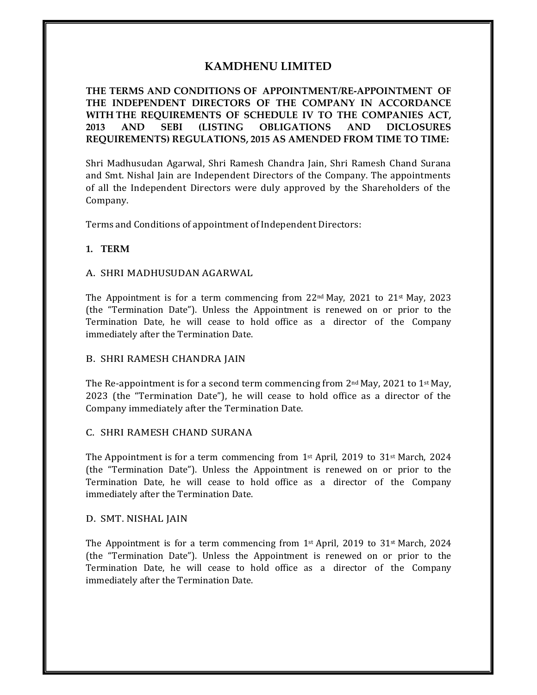# **KAMDHENU LIMITED**

**THE TERMS AND CONDITIONS OF APPOINTMENT/RE-APPOINTMENT OF THE INDEPENDENT DIRECTORS OF THE COMPANY IN ACCORDANCE WITH THE REQUIREMENTS OF SCHEDULE IV TO THE COMPANIES ACT, 2013 AND SEBI (LISTING OBLIGATIONS AND DICLOSURES REQUIREMENTS) REGULATIONS, 2015 AS AMENDED FROM TIME TO TIME:**

Shri Madhusudan Agarwal, Shri Ramesh Chandra Jain, Shri Ramesh Chand Surana and Smt. Nishal Jain are Independent Directors of the Company. The appointments of all the Independent Directors were duly approved by the Shareholders of the Company.

Terms and Conditions of appointment of Independent Directors:

### **1. TERM**

#### A. SHRI MADHUSUDAN AGARWAL

The Appointment is for a term commencing from  $22<sup>nd</sup>$  May,  $2021$  to  $21<sup>st</sup>$  May,  $2023$ (the "Termination Date"). Unless the Appointment is renewed on or prior to the Termination Date, he will cease to hold office as a director of the Company immediately after the Termination Date.

### B. SHRI RAMESH CHANDRA JAIN

The Re-appointment is for a second term commencing from  $2<sup>nd</sup>$  May, 2021 to 1<sup>st</sup> May, 2023 (the "Termination Date"), he will cease to hold office as a director of the Company immediately after the Termination Date.

#### C. SHRI RAMESH CHAND SURANA

The Appointment is for a term commencing from  $1<sup>st</sup>$  April, 2019 to 31<sup>st</sup> March, 2024 (the "Termination Date"). Unless the Appointment is renewed on or prior to the Termination Date, he will cease to hold office as a director of the Company immediately after the Termination Date.

#### D. SMT. NISHAL JAIN

The Appointment is for a term commencing from  $1<sup>st</sup>$  April, 2019 to 31<sup>st</sup> March, 2024 (the "Termination Date"). Unless the Appointment is renewed on or prior to the Termination Date, he will cease to hold office as a director of the Company immediately after the Termination Date.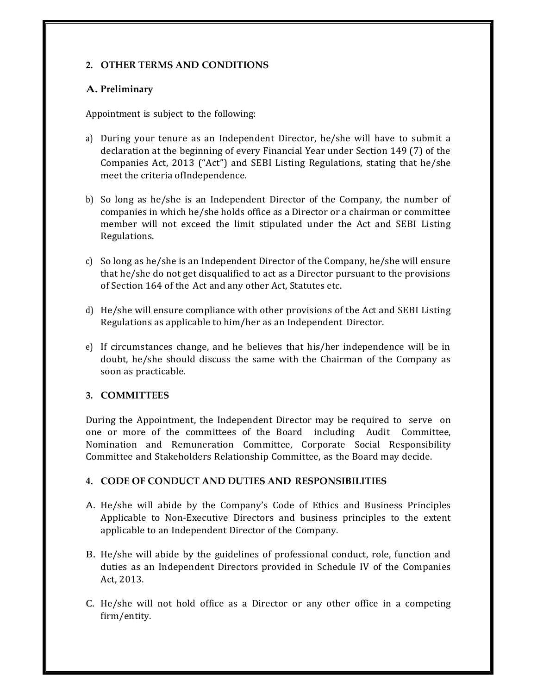## **2. OTHER TERMS AND CONDITIONS**

## **A. Preliminary**

Appointment is subject to the following:

- a) During your tenure as an Independent Director, he/she will have to submit a declaration at the beginning of every Financial Year under Section 149 (7) of the Companies Act, 2013 ("Act") and SEBI Listing Regulations, stating that he/she meet the criteria ofIndependence.
- b) So long as he/she is an Independent Director of the Company, the number of companies in which he/she holds office as a Director or a chairman or committee member will not exceed the limit stipulated under the Act and SEBI Listing Regulations.
- c) So long as he/she is an Independent Director of the Company, he/she will ensure that he/she do not get disqualified to act as a Director pursuant to the provisions of Section 164 of the Act and any other Act, Statutes etc.
- d) He/she will ensure compliance with other provisions of the Act and SEBI Listing Regulations as applicable to him/her as an Independent Director.
- e) If circumstances change, and he believes that his/her independence will be in doubt, he/she should discuss the same with the Chairman of the Company as soon as practicable.

## **3. COMMITTEES**

During the Appointment, the Independent Director may be required to serve on one or more of the committees of the Board including Audit Committee, Nomination and Remuneration Committee, Corporate Social Responsibility Committee and Stakeholders Relationship Committee, as the Board may decide.

## **4. CODE OF CONDUCT AND DUTIES AND RESPONSIBILITIES**

- A. He/she will abide by the Company's Code of Ethics and Business Principles Applicable to Non-Executive Directors and business principles to the extent applicable to an Independent Director of the Company.
- B. He/she will abide by the guidelines of professional conduct, role, function and duties as an Independent Directors provided in Schedule IV of the Companies Act, 2013.
- C. He/she will not hold office as a Director or any other office in a competing firm/entity.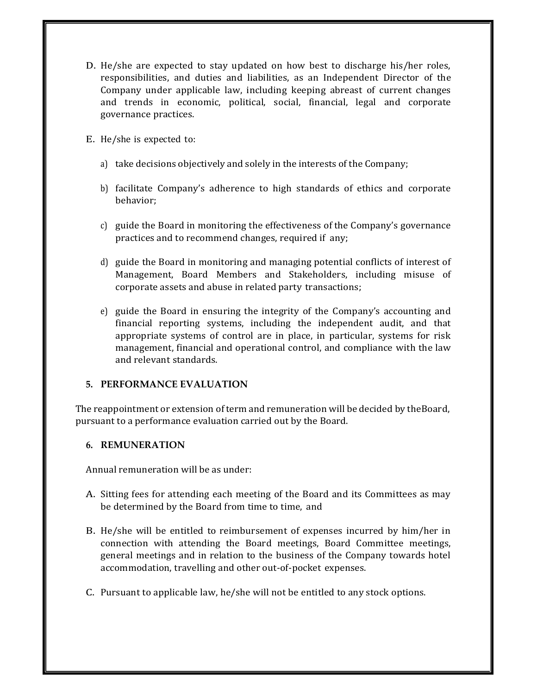- D. He/she are expected to stay updated on how best to discharge his/her roles, responsibilities, and duties and liabilities, as an Independent Director of the Company under applicable law, including keeping abreast of current changes and trends in economic, political, social, financial, legal and corporate governance practices.
- E. He/she is expected to:
	- a) take decisions objectively and solely in the interests of the Company;
	- b) facilitate Company's adherence to high standards of ethics and corporate behavior;
	- c) guide the Board in monitoring the effectiveness of the Company's governance practices and to recommend changes, required if any;
	- d) guide the Board in monitoring and managing potential conflicts of interest of Management, Board Members and Stakeholders, including misuse of corporate assets and abuse in related party transactions;
	- e) guide the Board in ensuring the integrity of the Company's accounting and financial reporting systems, including the independent audit, and that appropriate systems of control are in place, in particular, systems for risk management, financial and operational control, and compliance with the law and relevant standards.

### **5. PERFORMANCE EVALUATION**

The reappointment or extension of term and remuneration will be decided by theBoard, pursuant to a performance evaluation carried out by the Board.

### **6. REMUNERATION**

Annual remuneration will be as under:

- A. Sitting fees for attending each meeting of the Board and its Committees as may be determined by the Board from time to time, and
- B. He/she will be entitled to reimbursement of expenses incurred by him/her in connection with attending the Board meetings, Board Committee meetings, general meetings and in relation to the business of the Company towards hotel accommodation, travelling and other out-of-pocket expenses.
- C. Pursuant to applicable law, he/she will not be entitled to any stock options.